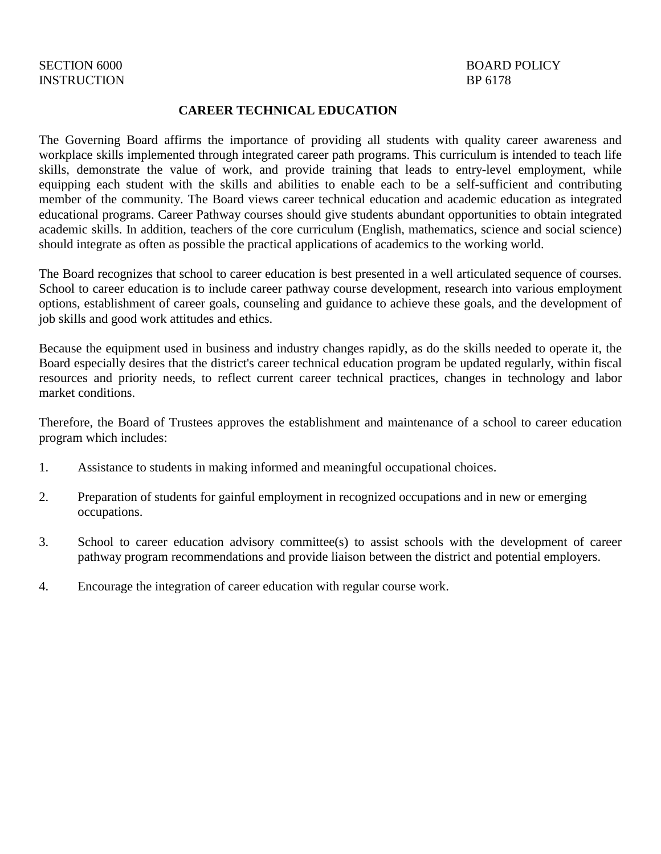### **CAREER TECHNICAL EDUCATION**

The Governing Board affirms the importance of providing all students with quality career awareness and workplace skills implemented through integrated career path programs. This curriculum is intended to teach life skills, demonstrate the value of work, and provide training that leads to entry-level employment, while equipping each student with the skills and abilities to enable each to be a self-sufficient and contributing member of the community. The Board views career technical education and academic education as integrated educational programs. Career Pathway courses should give students abundant opportunities to obtain integrated academic skills. In addition, teachers of the core curriculum (English, mathematics, science and social science) should integrate as often as possible the practical applications of academics to the working world.

The Board recognizes that school to career education is best presented in a well articulated sequence of courses. School to career education is to include career pathway course development, research into various employment options, establishment of career goals, counseling and guidance to achieve these goals, and the development of job skills and good work attitudes and ethics.

Because the equipment used in business and industry changes rapidly, as do the skills needed to operate it, the Board especially desires that the district's career technical education program be updated regularly, within fiscal resources and priority needs, to reflect current career technical practices, changes in technology and labor market conditions.

Therefore, the Board of Trustees approves the establishment and maintenance of a school to career education program which includes:

- 1. Assistance to students in making informed and meaningful occupational choices.
- 2. Preparation of students for gainful employment in recognized occupations and in new or emerging occupations.
- 3. School to career education advisory committee(s) to assist schools with the development of career pathway program recommendations and provide liaison between the district and potential employers.
- 4. Encourage the integration of career education with regular course work.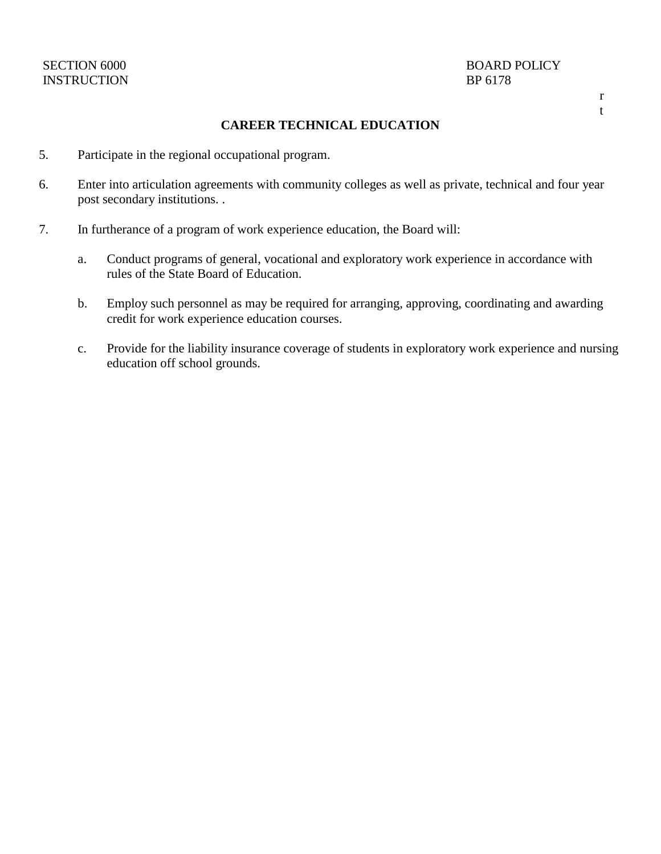## INSTRUCTION BP 6178

# SECTION 6000 BOARD POLICY

#### r t

### **CAREER TECHNICAL EDUCATION**

- 5. Participate in the regional occupational program.
- 6. Enter into articulation agreements with community colleges as well as private, technical and four year post secondary institutions. .
- 7. In furtherance of a program of work experience education, the Board will:
	- a. Conduct programs of general, vocational and exploratory work experience in accordance with rules of the State Board of Education.
	- b. Employ such personnel as may be required for arranging, approving, coordinating and awarding credit for work experience education courses.
	- c. Provide for the liability insurance coverage of students in exploratory work experience and nursing education off school grounds.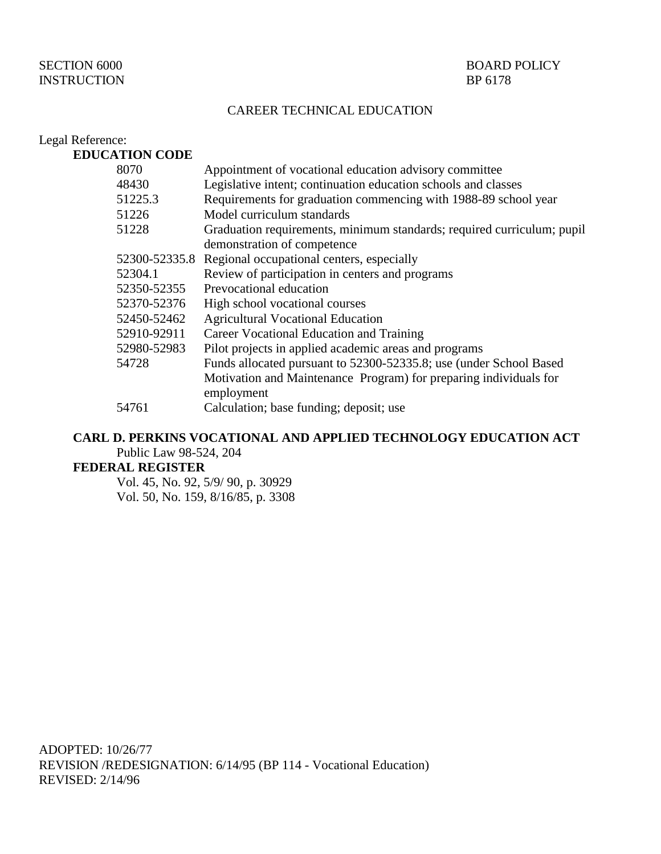## INSTRUCTION BP 6178

### CAREER TECHNICAL EDUCATION

| Legal Reference:      |                                                                                 |
|-----------------------|---------------------------------------------------------------------------------|
| <b>EDUCATION CODE</b> |                                                                                 |
| 8070                  | Appointment of vocational education advisory committee                          |
| 48430                 | Legislative intent; continuation education schools and classes                  |
| 51225.3               | Requirements for graduation commencing with 1988-89 school year                 |
| 51226                 | Model curriculum standards                                                      |
| 51228                 | Graduation requirements, minimum standards; required curriculum; pupil          |
|                       | demonstration of competence                                                     |
|                       | 52300-52335.8 Regional occupational centers, especially                         |
| 52304.1               | Review of participation in centers and programs                                 |
| 52350-52355           | Prevocational education                                                         |
| 52370-52376           | High school vocational courses                                                  |
| 52450-52462           | <b>Agricultural Vocational Education</b>                                        |
| 52910-92911           | Career Vocational Education and Training                                        |
| 52980-52983           | Pilot projects in applied academic areas and programs                           |
| 54728                 | Funds allocated pursuant to 52300-52335.8; use (under School Based              |
|                       | Motivation and Maintenance Program) for preparing individuals for<br>employment |
| 54761                 | Calculation; base funding; deposit; use                                         |

## **CARL D. PERKINS VOCATIONAL AND APPLIED TECHNOLOGY EDUCATION ACT** Public Law 98-524, 204

#### **FEDERAL REGISTER**

Vol. 45, No. 92, 5/9/ 90, p. 30929 Vol. 50, No. 159, 8/16/85, p. 3308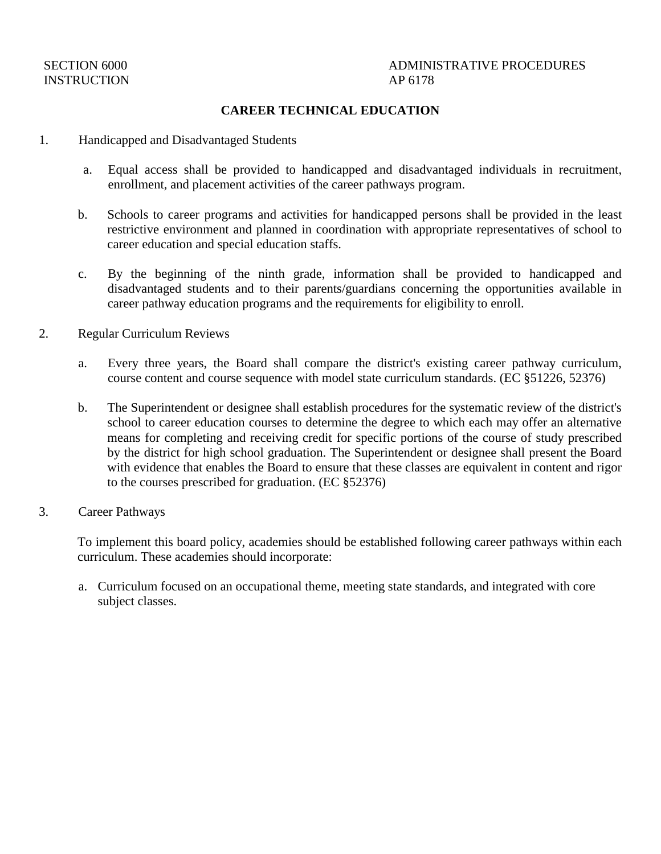## INSTRUCTION AP 6178

## SECTION 6000 ADMINISTRATIVE PROCEDURES

### **CAREER TECHNICAL EDUCATION**

- 1. Handicapped and Disadvantaged Students
	- a. Equal access shall be provided to handicapped and disadvantaged individuals in recruitment, enrollment, and placement activities of the career pathways program.
	- b. Schools to career programs and activities for handicapped persons shall be provided in the least restrictive environment and planned in coordination with appropriate representatives of school to career education and special education staffs.
	- c. By the beginning of the ninth grade, information shall be provided to handicapped and disadvantaged students and to their parents/guardians concerning the opportunities available in career pathway education programs and the requirements for eligibility to enroll.
- 2. Regular Curriculum Reviews
	- a. Every three years, the Board shall compare the district's existing career pathway curriculum, course content and course sequence with model state curriculum standards. (EC §51226, 52376)
	- b. The Superintendent or designee shall establish procedures for the systematic review of the district's school to career education courses to determine the degree to which each may offer an alternative means for completing and receiving credit for specific portions of the course of study prescribed by the district for high school graduation. The Superintendent or designee shall present the Board with evidence that enables the Board to ensure that these classes are equivalent in content and rigor to the courses prescribed for graduation. (EC §52376)
- 3. Career Pathways

To implement this board policy, academies should be established following career pathways within each curriculum. These academies should incorporate:

a. Curriculum focused on an occupational theme, meeting state standards, and integrated with core subject classes.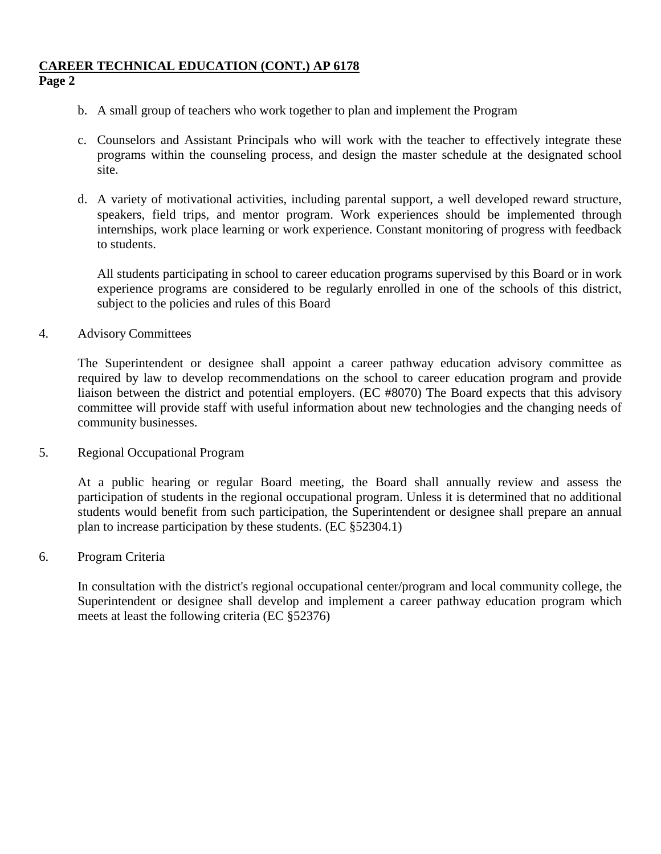## **CAREER TECHNICAL EDUCATION (CONT.) AP 6178 Page 2**

- b. A small group of teachers who work together to plan and implement the Program
- c. Counselors and Assistant Principals who will work with the teacher to effectively integrate these programs within the counseling process, and design the master schedule at the designated school site.
- d. A variety of motivational activities, including parental support, a well developed reward structure, speakers, field trips, and mentor program. Work experiences should be implemented through internships, work place learning or work experience. Constant monitoring of progress with feedback to students.

All students participating in school to career education programs supervised by this Board or in work experience programs are considered to be regularly enrolled in one of the schools of this district, subject to the policies and rules of this Board

4. Advisory Committees

The Superintendent or designee shall appoint a career pathway education advisory committee as required by law to develop recommendations on the school to career education program and provide liaison between the district and potential employers. (EC #8070) The Board expects that this advisory committee will provide staff with useful information about new technologies and the changing needs of community businesses.

5. Regional Occupational Program

At a public hearing or regular Board meeting, the Board shall annually review and assess the participation of students in the regional occupational program. Unless it is determined that no additional students would benefit from such participation, the Superintendent or designee shall prepare an annual plan to increase participation by these students. (EC §52304.1)

6. Program Criteria

In consultation with the district's regional occupational center/program and local community college, the Superintendent or designee shall develop and implement a career pathway education program which meets at least the following criteria (EC §52376)